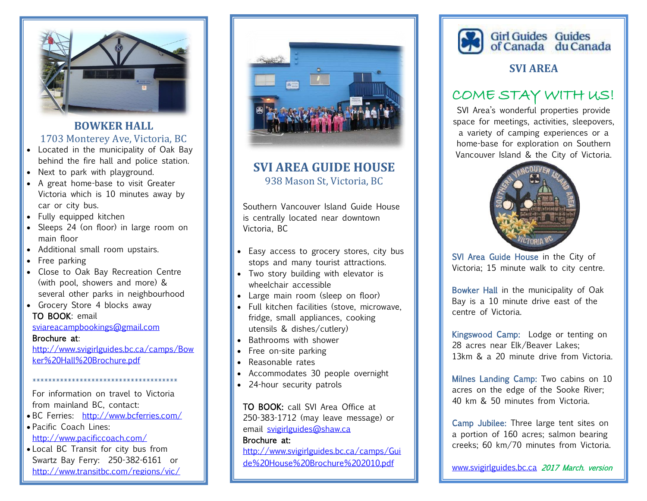

# **BOWKER HALL**

### 1703 Monterey Ave, Victoria, BC

- Located in the municipality of Oak Bay behind the fire hall and police station.
- Next to park with playground.
- A great home-base to visit Greater Victoria which is 10 minutes away by car or city bus.
- Fully equipped kitchen
- Sleeps 24 (on floor) in large room on main floor
- Additional small room upstairs.
- Free parking
- Close to Oak Bay Recreation Centre (with pool, showers and more) & several other parks in neighbourhood
- Grocery Store 4 blocks away TO BOOK: email

#### [sviareacampbookings@gmail.com](mailto:sviareacampbookings@gmail.com)

#### Brochure at:

[http://www.svigirlguides.bc.ca/camps/Bow](http://www.svigirlguides.bc.ca/camps/Bowker%20Hall%20Brochure.pdf) [ker%20Hall%20Brochure.pdf](http://www.svigirlguides.bc.ca/camps/Bowker%20Hall%20Brochure.pdf)

\*\*\*\*\*\*\*\*\*\*\*\*\*\*\*\*\*\*\*\*\*\*\*\*\*\*\*\*\*\*\*\*\*\*\*\*\*

For information on travel to Victoria from mainland BC, contact:

- BC Ferries: <http://www.bcferries.com/>
- Pacific Coach Lines: <http://www.pacificcoach.com/>
- Local BC Transit for city bus from Swartz Bay Ferry: 250-382-6161 or <http://www.transitbc.com/regions/vic/>



## **SVI AREA GUIDE HOUSE** 938 Mason St, Victoria, BC

Southern Vancouver Island Guide House is centrally located near downtown Victoria, BC

- Easy access to grocery stores, city bus stops and many tourist attractions.
- Two story building with elevator is wheelchair accessible
- Large main room (sleep on floor)
- Full kitchen facilities (stove, microwave, fridge, small appliances, cooking utensils & dishes/cutlery)
- Bathrooms with shower
- Free on-site parking
- Reasonable rates
- Accommodates 30 people overnight
- 24-hour security patrols

TO BOOK: call SVI Area Office at 250-383-1712 (may leave message) or email [svigirlguides@shaw.ca](mailto:svigirlguides@shaw.ca) 

#### Brochure at:

[http://www.svigirlguides.bc.ca/camps/Gui](http://www.svigirlguides.bc.ca/camps/Guide%20House%20Brochure%202010.pdf) [de%20House%20Brochure%202010.pdf](http://www.svigirlguides.bc.ca/camps/Guide%20House%20Brochure%202010.pdf) 



### **SVI AREA**

# COME STAY WITH US!

SVI Area's wonderful properties provide space for meetings, activities, sleepovers, a variety of camping experiences or a home-base for exploration on Southern Vancouver Island & the City of Victoria.



SVI Area Guide House in the City of Victoria; 15 minute walk to city centre.

Bowker Hall in the municipality of Oak Bay is a 10 minute drive east of the centre of Victoria.

Kingswood Camp: Lodge or tenting on 28 acres near Elk/Beaver Lakes; 13km & a 20 minute drive from Victoria.

Milnes Landing Camp: Two cabins on 10 acres on the edge of the Sooke River; 40 km & 50 minutes from Victoria.

Camp Jubilee: Three large tent sites on a portion of 160 acres; salmon bearing creeks; 60 km/70 minutes from Victoria.

[www.svigirlguides.bc.ca](http://www.svigirlguides.bc.ca/) 2017 March. version